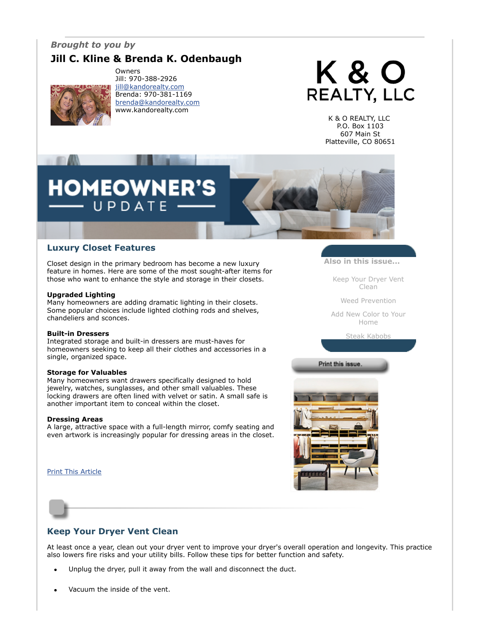## *Brought to you by*

## **Jill C. Kline & Brenda K. Odenbaugh**



Owners Jill: 970-388-2926 [jill@kandorealty.com](mailto:jill@kandorealty.com) Brenda: 970-381-1169 [brenda@kandorealty.com](mailto:brenda@kandorealty.com) www.kandorealty.com



K & O REALTY, LLC P.O. Box 1103 607 Main St Platteville, CO 80651

# **HOMEOWN** UPDATE

#### **Luxury Closet Features**

Closet design in the primary bedroom has become a new luxury feature in homes. Here are some of the most sought-after items for those who want to enhance the style and storage in their closets.

#### **Upgraded Lighting**

Many homeowners are adding dramatic lighting in their closets. Some popular choices include lighted clothing rods and shelves, chandeliers and sconces.

#### **Built-in Dressers**

Integrated storage and built-in dressers are must-haves for homeowners seeking to keep all their clothes and accessories in a single, organized space.

#### **Storage for Valuables**

Many homeowners want drawers specifically designed to hold jewelry, watches, sunglasses, and other small valuables. These locking drawers are often lined with velvet or satin. A small safe is another important item to conceal within the closet.

#### **Dressing Areas**

A large, attractive space with a full-length mirror, comfy seating and even artwork is increasingly popular for dressing areas in the closet.

[Print This Article](javascript:print();)

**Also in this issue...**

[Keep Your Dryer Vent](#page-0-0) Clean

[Weed Prevention](#page-1-0)

[Add New Color to Your](#page-1-1) Home

[Steak Kabobs](#page-2-0)

Print this issue.



## <span id="page-0-0"></span>**Keep Your Dryer Vent Clean**

At least once a year, clean out your dryer vent to improve your dryer's overall operation and longevity. This practice also lowers fire risks and your utility bills. Follow these tips for better function and safety.

- Unplug the dryer, pull it away from the wall and disconnect the duct.
- Vacuum the inside of the vent.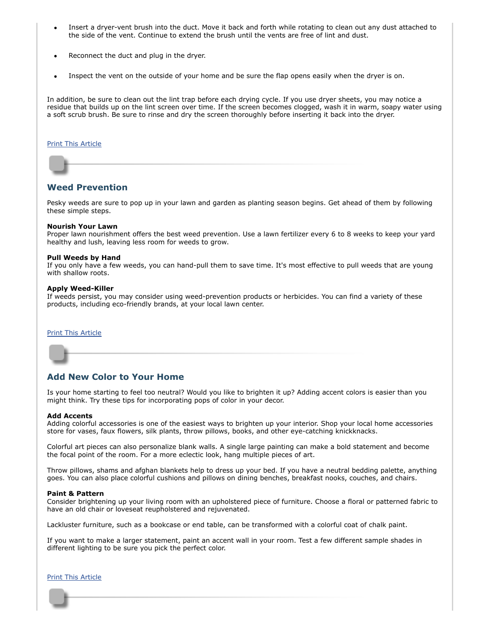- Insert a dryer-vent brush into the duct. Move it back and forth while rotating to clean out any dust attached to the side of the vent. Continue to extend the brush until the vents are free of lint and dust.
- Reconnect the duct and plug in the dryer.
- Inspect the vent on the outside of your home and be sure the flap opens easily when the dryer is on.

In addition, be sure to clean out the lint trap before each drying cycle. If you use dryer sheets, you may notice a residue that builds up on the lint screen over time. If the screen becomes clogged, wash it in warm, soapy water using a soft scrub brush. Be sure to rinse and dry the screen thoroughly before inserting it back into the dryer.

#### [Print This Article](javascript:print();)

#### <span id="page-1-0"></span>**Weed Prevention**

Pesky weeds are sure to pop up in your lawn and garden as planting season begins. Get ahead of them by following these simple steps.

#### **Nourish Your Lawn**

Proper lawn nourishment offers the best weed prevention. Use a lawn fertilizer every 6 to 8 weeks to keep your yard healthy and lush, leaving less room for weeds to grow.

#### **Pull Weeds by Hand**

If you only have a few weeds, you can hand-pull them to save time. It's most effective to pull weeds that are young with shallow roots.

#### **Apply Weed-Killer**

If weeds persist, you may consider using weed-prevention products or herbicides. You can find a variety of these products, including eco-friendly brands, at your local lawn center.

#### [Print This Article](javascript:print();)

#### <span id="page-1-1"></span>**Add New Color to Your Home**

Is your home starting to feel too neutral? Would you like to brighten it up? Adding accent colors is easier than you might think. Try these tips for incorporating pops of color in your decor.

#### **Add Accents**

Adding colorful accessories is one of the easiest ways to brighten up your interior. Shop your local home accessories store for vases, faux flowers, silk plants, throw pillows, books, and other eye-catching knickknacks.

Colorful art pieces can also personalize blank walls. A single large painting can make a bold statement and become the focal point of the room. For a more eclectic look, hang multiple pieces of art.

Throw pillows, shams and afghan blankets help to dress up your bed. If you have a neutral bedding palette, anything goes. You can also place colorful cushions and pillows on dining benches, breakfast nooks, couches, and chairs.

#### **Paint & Pattern**

Consider brightening up your living room with an upholstered piece of furniture. Choose a floral or patterned fabric to have an old chair or loveseat reupholstered and rejuvenated.

Lackluster furniture, such as a bookcase or end table, can be transformed with a colorful coat of chalk paint.

If you want to make a larger statement, paint an accent wall in your room. Test a few different sample shades in different lighting to be sure you pick the perfect color.

[Print This Article](javascript:print();)